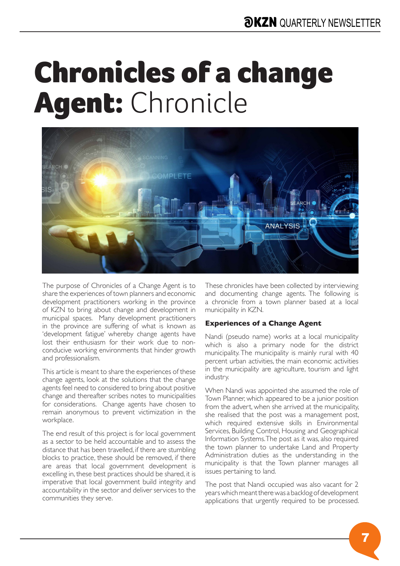## Chronicles of a change Agent: Chronicle



The purpose of Chronicles of a Change Agent is to share the experiences of town planners and economic development practitioners working in the province of KZN to bring about change and development in municipal spaces. Many development practitioners in the province are suffering of what is known as 'development fatigue' whereby change agents have lost their enthusiasm for their work due to nonconducive working environments that hinder growth and professionalism.

This article is meant to share the experiences of these change agents, look at the solutions that the change agents feel need to considered to bring about positive change and thereafter scribes notes to municipalities for considerations. Change agents have chosen to remain anonymous to prevent victimization in the workplace.

The end result of this project is for local government as a sector to be held accountable and to assess the distance that has been travelled, if there are stumbling blocks to practice, these should be removed, if there are areas that local government development is excelling in, these best practices should be shared, it is imperative that local government build integrity and accountability in the sector and deliver services to the communities they serve.

These chronicles have been collected by interviewing and documenting change agents. The following is a chronicle from a town planner based at a local municipality in KZN.

## **Experiences of a Change Agent**

Nandi (pseudo name) works at a local municipality which is also a primary node for the district municipality. The municipality is mainly rural with 40 percent urban activities, the main economic activities in the municipality are agriculture, tourism and light industry.

When Nandi was appointed she assumed the role of Town Planner, which appeared to be a junior position from the advert, when she arrived at the municipality, she realised that the post was a management post, which required extensive skills in Environmental Services, Building Control, Housing and Geographical Information Systems. The post as it was, also required the town planner to undertake Land and Property Administration duties as the understanding in the municipality is that the Town planner manages all issues pertaining to land.

The post that Nandi occupied was also vacant for 2 years which meant there was a backlog of development applications that urgently required to be processed.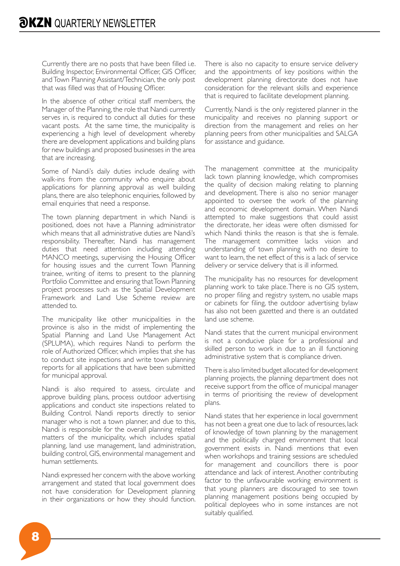Currently there are no posts that have been filled i.e. Building Inspector, Environmental Officer, GIS Officer, and Town Planning Assistant/Technician, the only post that was filled was that of Housing Officer.

In the absence of other critical staff members, the Manager of the Planning, the role that Nandi currently serves in, is required to conduct all duties for these vacant posts. At the same time, the municipality is experiencing a high level of development whereby there are development applications and building plans for new buildings and proposed businesses in the area that are increasing.

Some of Nandi's daily duties include dealing with walk-ins from the community who enquire about applications for planning approval as well building plans, there are also telephonic enquiries, followed by email enquiries that need a response.

The town planning department in which Nandi is positioned, does not have a Planning administrator which means that all administrative duties are Nandi's responsibility. Thereafter, Nandi has management duties that need attention including attending MANCO meetings, supervising the Housing Officer for housing issues and the current Town Planning trainee, writing of items to present to the planning Portfolio Committee and ensuring that Town Planning project processes such as the Spatial Development Framework and Land Use Scheme review are attended to.

The municipality like other municipalities in the province is also in the midst of implementing the Spatial Planning and Land Use Management Act (SPLUMA), which requires Nandi to perform the role of Authorized Officer, which implies that she has to conduct site inspections and write town planning reports for all applications that have been submitted for municipal approval.

Nandi is also required to assess, circulate and approve building plans, process outdoor advertising applications and conduct site inspections related to Building Control. Nandi reports directly to senior manager who is not a town planner, and due to this, Nandi is responsible for the overall planning related matters of the municipality, which includes spatial planning, land use management, land administration, building control, GIS, environmental management and human settlements.

Nandi expressed her concern with the above working arrangement and stated that local government does not have consideration for Development planning in their organizations or how they should function.

There is also no capacity to ensure service delivery and the appointments of key positions within the development planning directorate does not have consideration for the relevant skills and experience that is required to facilitate development planning.

Currently, Nandi is the only registered planner in the municipality and receives no planning support or direction from the management and relies on her planning peers from other municipalities and SALGA for assistance and guidance.

The management committee at the municipality lack town planning knowledge, which compromises the quality of decision making relating to planning and development. There is also no senior manager appointed to oversee the work of the planning and economic development domain. When Nandi attempted to make suggestions that could assist the directorate, her ideas were often dismissed for which Nandi thinks the reason is that she is female. The management committee lacks vision and understanding of town planning with no desire to want to learn, the net effect of this is a lack of service delivery or service delivery that is ill informed.

The municipality has no resources for development planning work to take place. There is no GIS system, no proper filing and registry system, no usable maps or cabinets for filing, the outdoor advertising bylaw has also not been gazetted and there is an outdated land use scheme.

Nandi states that the current municipal environment is not a conducive place for a professional and skilled person to work in due to an ill functioning administrative system that is compliance driven.

There is also limited budget allocated for development planning projects, the planning department does not receive support from the office of municipal manager in terms of prioritising the review of development plans.

Nandi states that her experience in local government has not been a great one due to lack of resources, lack of knowledge of town planning by the management and the politically charged environment that local government exists in. Nandi mentions that even when workshops and training sessions are scheduled for management and councillors there is poor attendance and lack of interest. Another contributing factor to the unfavourable working environment is that young planners are discouraged to see town planning management positions being occupied by political deployees who in some instances are not suitably qualified.